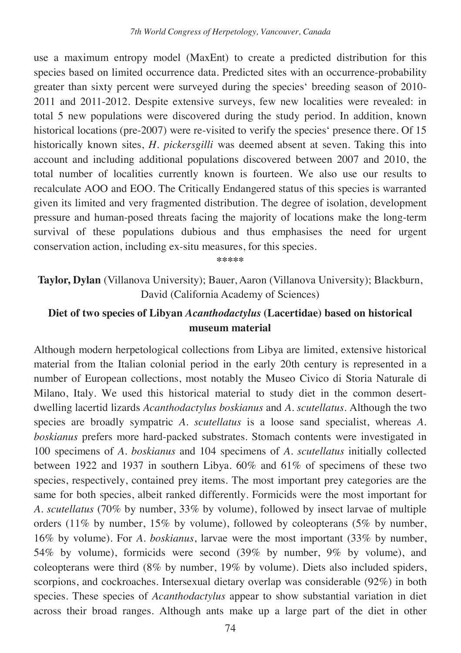use a maximum entropy model (MaxEnt) to create a predicted distribution for this species based on limited occurrence data. Predicted sites with an occurrence-probability greater than sixty percent were surveyed during the species' breeding season of 2010- 2011 and 2011-2012. Despite extensive surveys, few new localities were revealed: in total 5 new populations were discovered during the study period. In addition, known historical locations (pre-2007) were re-visited to verify the species' presence there. Of 15 historically known sites, *H. pickersgilli* was deemed absent at seven. Taking this into account and including additional populations discovered between 2007 and 2010, the total number of localities currently known is fourteen. We also use our results to recalculate AOO and EOO. The Critically Endangered status of this species is warranted given its limited and very fragmented distribution. The degree of isolation, development pressure and human-posed threats facing the majority of locations make the long-term survival of these populations dubious and thus emphasises the need for urgent conservation action, including ex-situ measures, for this species.

**\*\*\*\*\*** 

**Taylor, Dylan** (Villanova University); Bauer, Aaron (Villanova University); Blackburn, David (California Academy of Sciences)

## **Diet of two species of Libyan** *Acanthodactylus* **(Lacertidae) based on historical museum material**

Although modern herpetological collections from Libya are limited, extensive historical material from the Italian colonial period in the early 20th century is represented in a number of European collections, most notably the Museo Civico di Storia Naturale di Milano, Italy. We used this historical material to study diet in the common desertdwelling lacertid lizards *Acanthodactylus boskianus* and *A. scutellatus*. Although the two species are broadly sympatric *A. scutellatus* is a loose sand specialist, whereas *A. boskianus* prefers more hard-packed substrates. Stomach contents were investigated in 100 specimens of *A. boskianus* and 104 specimens of *A. scutellatus* initially collected between 1922 and 1937 in southern Libya. 60% and 61% of specimens of these two species, respectively, contained prey items. The most important prey categories are the same for both species, albeit ranked differently. Formicids were the most important for *A. scutellatus* (70% by number, 33% by volume), followed by insect larvae of multiple orders (11% by number, 15% by volume), followed by coleopterans (5% by number, 16% by volume). For *A. boskianus*, larvae were the most important (33% by number, 54% by volume), formicids were second (39% by number, 9% by volume), and coleopterans were third (8% by number, 19% by volume). Diets also included spiders, scorpions, and cockroaches. Intersexual dietary overlap was considerable (92%) in both species. These species of *Acanthodactylus* appear to show substantial variation in diet across their broad ranges. Although ants make up a large part of the diet in other